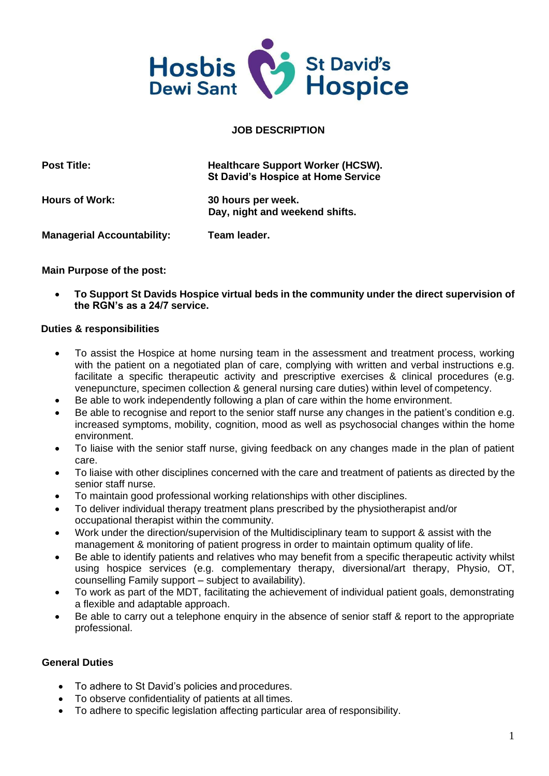

### **JOB DESCRIPTION**

| <b>Post Title:</b>                | <b>Healthcare Support Worker (HCSW).</b><br><b>St David's Hospice at Home Service</b> |
|-----------------------------------|---------------------------------------------------------------------------------------|
| <b>Hours of Work:</b>             | 30 hours per week.<br>Day, night and weekend shifts.                                  |
| <b>Managerial Accountability:</b> | Team leader.                                                                          |

#### **Main Purpose of the post:**

• **To Support St Davids Hospice virtual beds in the community under the direct supervision of the RGN's as a 24/7 service.**

#### **Duties & responsibilities**

- To assist the Hospice at home nursing team in the assessment and treatment process, working with the patient on a negotiated plan of care, complying with written and verbal instructions e.g. facilitate a specific therapeutic activity and prescriptive exercises & clinical procedures (e.g. venepuncture, specimen collection & general nursing care duties) within level of competency.
- Be able to work independently following a plan of care within the home environment.
- Be able to recognise and report to the senior staff nurse any changes in the patient's condition e.g. increased symptoms, mobility, cognition, mood as well as psychosocial changes within the home environment.
- To liaise with the senior staff nurse, giving feedback on any changes made in the plan of patient care.
- To liaise with other disciplines concerned with the care and treatment of patients as directed by the senior staff nurse.
- To maintain good professional working relationships with other disciplines.
- To deliver individual therapy treatment plans prescribed by the physiotherapist and/or occupational therapist within the community.
- Work under the direction/supervision of the Multidisciplinary team to support & assist with the management & monitoring of patient progress in order to maintain optimum quality of life.
- Be able to identify patients and relatives who may benefit from a specific therapeutic activity whilst using hospice services (e.g. complementary therapy, diversional/art therapy, Physio, OT, counselling Family support – subject to availability).
- To work as part of the MDT, facilitating the achievement of individual patient goals, demonstrating a flexible and adaptable approach.
- Be able to carry out a telephone enquiry in the absence of senior staff & report to the appropriate professional.

#### **General Duties**

- To adhere to St David's policies and procedures.
- To observe confidentiality of patients at all times.
- To adhere to specific legislation affecting particular area of responsibility.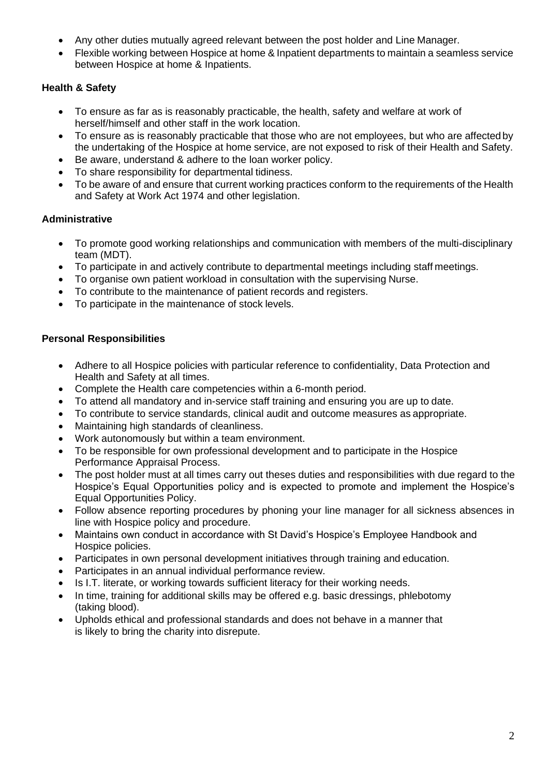- Any other duties mutually agreed relevant between the post holder and Line Manager.
- Flexible working between Hospice at home & Inpatient departments to maintain a seamless service between Hospice at home & Inpatients.

## **Health & Safety**

- To ensure as far as is reasonably practicable, the health, safety and welfare at work of herself/himself and other staff in the work location.
- To ensure as is reasonably practicable that those who are not employees, but who are affectedby the undertaking of the Hospice at home service, are not exposed to risk of their Health and Safety.
- Be aware, understand & adhere to the loan worker policy.
- To share responsibility for departmental tidiness.
- To be aware of and ensure that current working practices conform to the requirements of the Health and Safety at Work Act 1974 and other legislation.

## **Administrative**

- To promote good working relationships and communication with members of the multi-disciplinary team (MDT).
- To participate in and actively contribute to departmental meetings including staff meetings.
- To organise own patient workload in consultation with the supervising Nurse.
- To contribute to the maintenance of patient records and registers.
- To participate in the maintenance of stock levels.

## **Personal Responsibilities**

- Adhere to all Hospice policies with particular reference to confidentiality, Data Protection and Health and Safety at all times.
- Complete the Health care competencies within a 6-month period.
- To attend all mandatory and in-service staff training and ensuring you are up to date.
- To contribute to service standards, clinical audit and outcome measures as appropriate.
- Maintaining high standards of cleanliness.
- Work autonomously but within a team environment.
- To be responsible for own professional development and to participate in the Hospice Performance Appraisal Process.
- The post holder must at all times carry out theses duties and responsibilities with due regard to the Hospice's Equal Opportunities policy and is expected to promote and implement the Hospice's Equal Opportunities Policy.
- Follow absence reporting procedures by phoning your line manager for all sickness absences in line with Hospice policy and procedure.
- Maintains own conduct in accordance with St David's Hospice's Employee Handbook and Hospice policies.
- Participates in own personal development initiatives through training and education.
- Participates in an annual individual performance review.
- Is I.T. literate, or working towards sufficient literacy for their working needs.
- In time, training for additional skills may be offered e.g. basic dressings, phlebotomy (taking blood).
- Upholds ethical and professional standards and does not behave in a manner that is likely to bring the charity into disrepute.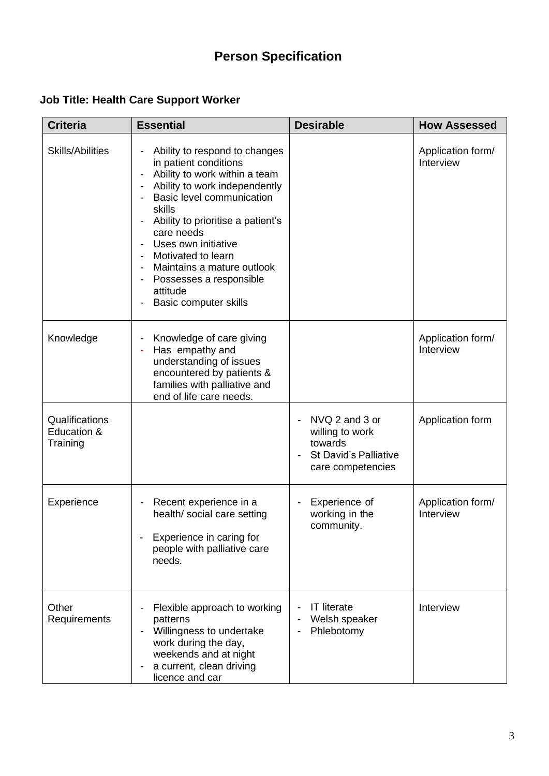# **Person Specification**

## **Job Title: Health Care Support Worker**

| <b>Criteria</b>                           | <b>Essential</b>                                                                                                                                                                                                                                                                                                                                                                                                                                      | <b>Desirable</b>                                                                                                    | <b>How Assessed</b>            |
|-------------------------------------------|-------------------------------------------------------------------------------------------------------------------------------------------------------------------------------------------------------------------------------------------------------------------------------------------------------------------------------------------------------------------------------------------------------------------------------------------------------|---------------------------------------------------------------------------------------------------------------------|--------------------------------|
| <b>Skills/Abilities</b>                   | Ability to respond to changes<br>in patient conditions<br>Ability to work within a team<br>$\qquad \qquad \blacksquare$<br>Ability to work independently<br><b>Basic level communication</b><br>skills<br>Ability to prioritise a patient's<br>-<br>care needs<br>Uses own initiative<br>-<br>Motivated to learn<br>Maintains a mature outlook<br>$\qquad \qquad \blacksquare$<br>Possesses a responsible<br>attitude<br><b>Basic computer skills</b> |                                                                                                                     | Application form/<br>Interview |
| Knowledge                                 | Knowledge of care giving<br>-<br>Has empathy and<br>÷<br>understanding of issues<br>encountered by patients &<br>families with palliative and<br>end of life care needs.                                                                                                                                                                                                                                                                              |                                                                                                                     | Application form/<br>Interview |
| Qualifications<br>Education &<br>Training |                                                                                                                                                                                                                                                                                                                                                                                                                                                       | NVQ 2 and 3 or<br>willing to work<br>towards<br><b>St David's Palliative</b><br>$\overline{a}$<br>care competencies | Application form               |
| Experience                                | Recent experience in a<br>-<br>health/ social care setting<br>Experience in caring for<br>people with palliative care<br>needs.                                                                                                                                                                                                                                                                                                                       | Experience of<br>working in the<br>community.                                                                       | Application form/<br>Interview |
| Other<br>Requirements                     | Flexible approach to working<br>patterns<br>Willingness to undertake<br>-<br>work during the day,<br>weekends and at night<br>a current, clean driving<br>licence and car                                                                                                                                                                                                                                                                             | <b>IT literate</b><br>Welsh speaker<br>Phlebotomy                                                                   | Interview                      |